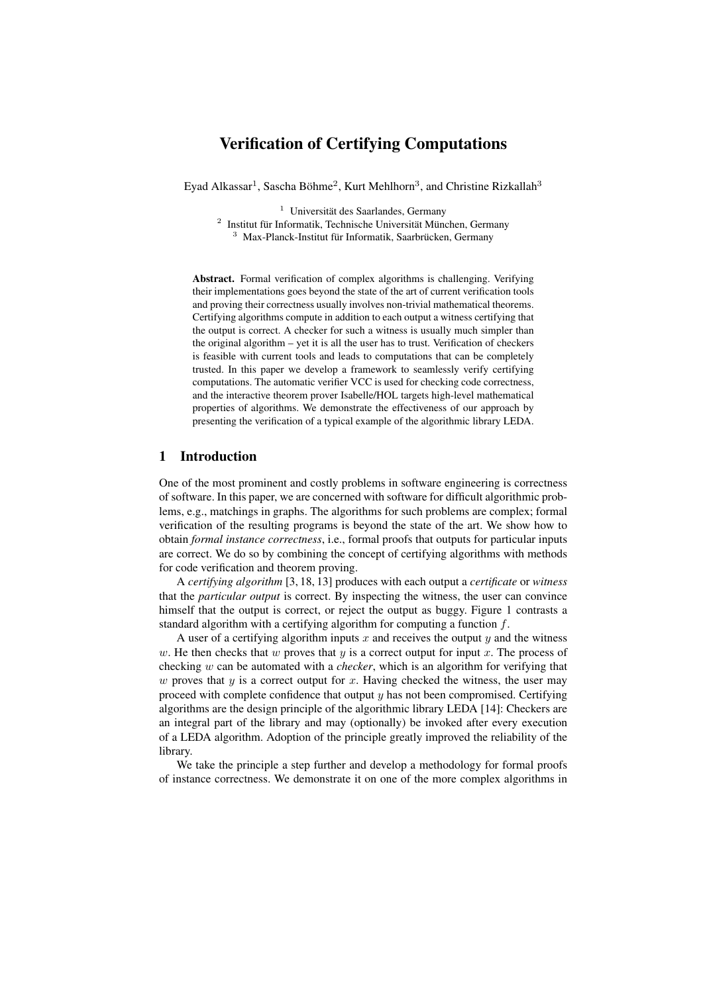# Verification of Certifying Computations

Eyad Alkassar<sup>1</sup>, Sascha Böhme<sup>2</sup>, Kurt Mehlhorn<sup>3</sup>, and Christine Rizkallah<sup>3</sup>

 $1$  Universität des Saarlandes, Germany

 $2$  Institut für Informatik, Technische Universität München, Germany  $3$  Max-Planck-Institut für Informatik, Saarbrücken, Germany

Abstract. Formal verification of complex algorithms is challenging. Verifying their implementations goes beyond the state of the art of current verification tools and proving their correctness usually involves non-trivial mathematical theorems. Certifying algorithms compute in addition to each output a witness certifying that the output is correct. A checker for such a witness is usually much simpler than the original algorithm – yet it is all the user has to trust. Verification of checkers is feasible with current tools and leads to computations that can be completely trusted. In this paper we develop a framework to seamlessly verify certifying computations. The automatic verifier VCC is used for checking code correctness, and the interactive theorem prover Isabelle/HOL targets high-level mathematical properties of algorithms. We demonstrate the effectiveness of our approach by presenting the verification of a typical example of the algorithmic library LEDA.

# 1 Introduction

One of the most prominent and costly problems in software engineering is correctness of software. In this paper, we are concerned with software for difficult algorithmic problems, e.g., matchings in graphs. The algorithms for such problems are complex; formal verification of the resulting programs is beyond the state of the art. We show how to obtain *formal instance correctness*, i.e., formal proofs that outputs for particular inputs are correct. We do so by combining the concept of certifying algorithms with methods for code verification and theorem proving.

A *certifying algorithm* [3, 18, 13] produces with each output a *certificate* or *witness* that the *particular output* is correct. By inspecting the witness, the user can convince himself that the output is correct, or reject the output as buggy. Figure 1 contrasts a standard algorithm with a certifying algorithm for computing a function  $f$ .

A user of a certifying algorithm inputs  $x$  and receives the output  $y$  and the witness w. He then checks that w proves that y is a correct output for input x. The process of checking w can be automated with a *checker*, which is an algorithm for verifying that w proves that  $y$  is a correct output for x. Having checked the witness, the user may proceed with complete confidence that output  $\psi$  has not been compromised. Certifying algorithms are the design principle of the algorithmic library LEDA [14]: Checkers are an integral part of the library and may (optionally) be invoked after every execution of a LEDA algorithm. Adoption of the principle greatly improved the reliability of the library.

We take the principle a step further and develop a methodology for formal proofs of instance correctness. We demonstrate it on one of the more complex algorithms in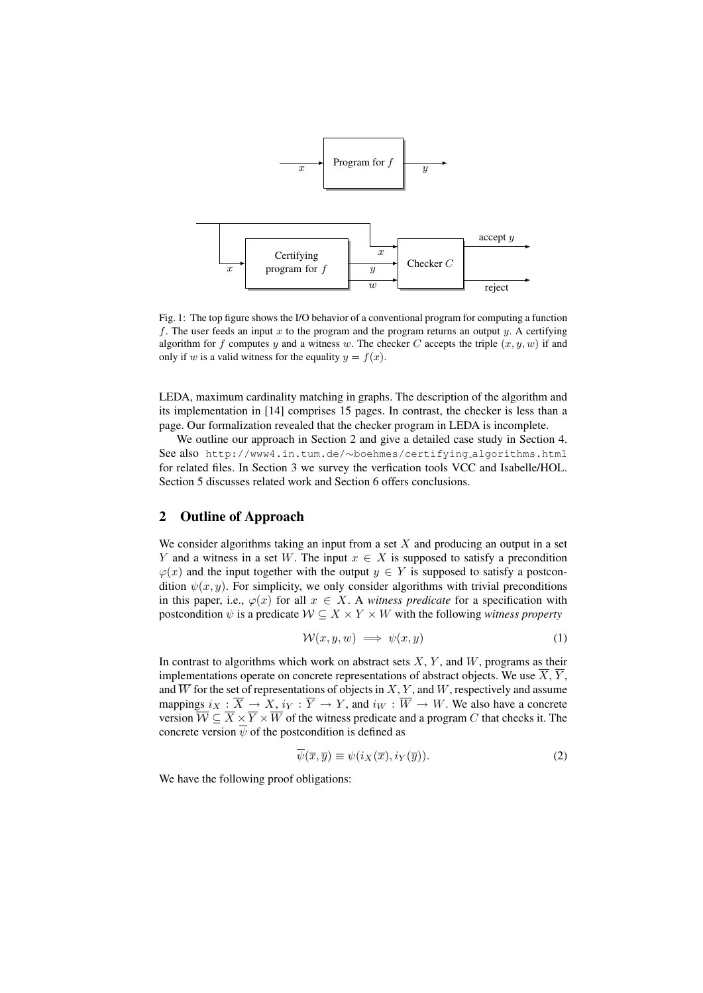

Fig. 1: The top figure shows the I/O behavior of a conventional program for computing a function f. The user feeds an input x to the program and the program returns an output y. A certifying algorithm for f computes y and a witness w. The checker C accepts the triple  $(x, y, w)$  if and only if w is a valid witness for the equality  $y = f(x)$ .

LEDA, maximum cardinality matching in graphs. The description of the algorithm and its implementation in [14] comprises 15 pages. In contrast, the checker is less than a page. Our formalization revealed that the checker program in LEDA is incomplete.

We outline our approach in Section 2 and give a detailed case study in Section 4. See also http://www4.in.tum.de/∼boehmes/certifying algorithms.html for related files. In Section 3 we survey the verfication tools VCC and Isabelle/HOL. Section 5 discusses related work and Section 6 offers conclusions.

# 2 Outline of Approach

We consider algorithms taking an input from a set  $X$  and producing an output in a set Y and a witness in a set W. The input  $x \in X$  is supposed to satisfy a precondition  $\varphi(x)$  and the input together with the output  $y \in Y$  is supposed to satisfy a postcondition  $\psi(x, y)$ . For simplicity, we only consider algorithms with trivial preconditions in this paper, i.e.,  $\varphi(x)$  for all  $x \in X$ . A *witness predicate* for a specification with postcondition  $\psi$  is a predicate  $\mathcal{W} \subseteq X \times Y \times W$  with the following *witness property* 

$$
\mathcal{W}(x, y, w) \implies \psi(x, y) \tag{1}
$$

In contrast to algorithms which work on abstract sets  $X, Y$ , and  $W$ , programs as their implementations operate on concrete representations of abstract objects. We use  $\overline{X}, \overline{Y}$ , and  $\overline{W}$  for the set of representations of objects in X, Y, and W, respectively and assume mappings  $i_X : \overline{X} \to X$ ,  $i_Y : \overline{Y} \to Y$ , and  $i_W : \overline{W} \to W$ . We also have a concrete version  $\overline{W} \stackrel{\sim}{\subset} \overline{X} \times \overline{Y} \times \overline{W}$  of the witness predicate and a program C that checks it. The concrete version  $\overline{\psi}$  of the postcondition is defined as

$$
\overline{\psi}(\overline{x}, \overline{y}) \equiv \psi(i_X(\overline{x}), i_Y(\overline{y})). \tag{2}
$$

We have the following proof obligations: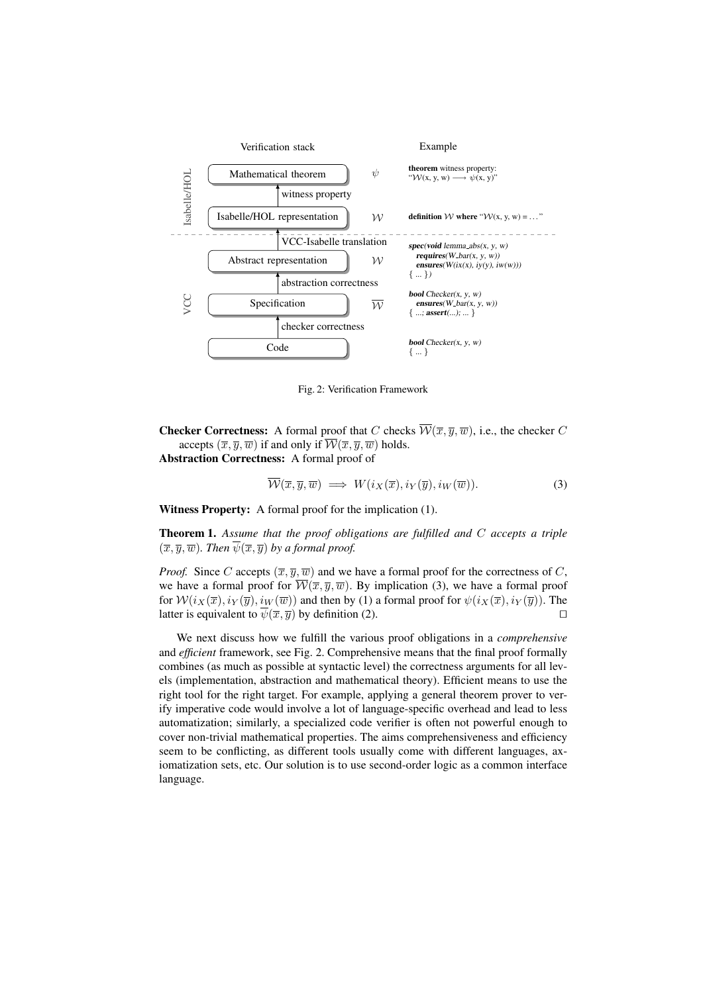

Fig. 2: Verification Framework

**Checker Correctness:** A formal proof that C checks  $\overline{W}(\overline{x}, \overline{y}, \overline{w})$ , i.e., the checker C accepts  $(\overline{x}, \overline{y}, \overline{w})$  if and only if  $\overline{\mathcal{W}}(\overline{x}, \overline{y}, \overline{w})$  holds.

Abstraction Correctness: A formal proof of

$$
\overline{\mathcal{W}}(\overline{x}, \overline{y}, \overline{w}) \implies W(i_X(\overline{x}), i_Y(\overline{y}), i_W(\overline{w})). \tag{3}
$$

Witness Property: A formal proof for the implication (1).

Theorem 1. *Assume that the proof obligations are fulfilled and* C *accepts a triple*  $(\overline{x}, \overline{y}, \overline{w})$ *. Then*  $\overline{\psi}(\overline{x}, \overline{y})$  *by a formal proof.* 

*Proof.* Since C accepts  $(\overline{x}, \overline{y}, \overline{w})$  and we have a formal proof for the correctness of C, we have a formal proof for  $\overline{W}(\overline{x}, \overline{y}, \overline{w})$ . By implication (3), we have a formal proof for  $W(i_X(\overline{x}), i_Y(\overline{y}), i_W(\overline{w}))$  and then by (1) a formal proof for  $\psi(i_X(\overline{x}), i_Y(\overline{y}))$ . The latter is equivalent to  $\overline{\psi}(\overline{x}, \overline{y})$  by definition (2).

We next discuss how we fulfill the various proof obligations in a *comprehensive* and *efficient* framework, see Fig. 2. Comprehensive means that the final proof formally combines (as much as possible at syntactic level) the correctness arguments for all levels (implementation, abstraction and mathematical theory). Efficient means to use the right tool for the right target. For example, applying a general theorem prover to verify imperative code would involve a lot of language-specific overhead and lead to less automatization; similarly, a specialized code verifier is often not powerful enough to cover non-trivial mathematical properties. The aims comprehensiveness and efficiency seem to be conflicting, as different tools usually come with different languages, axiomatization sets, etc. Our solution is to use second-order logic as a common interface language.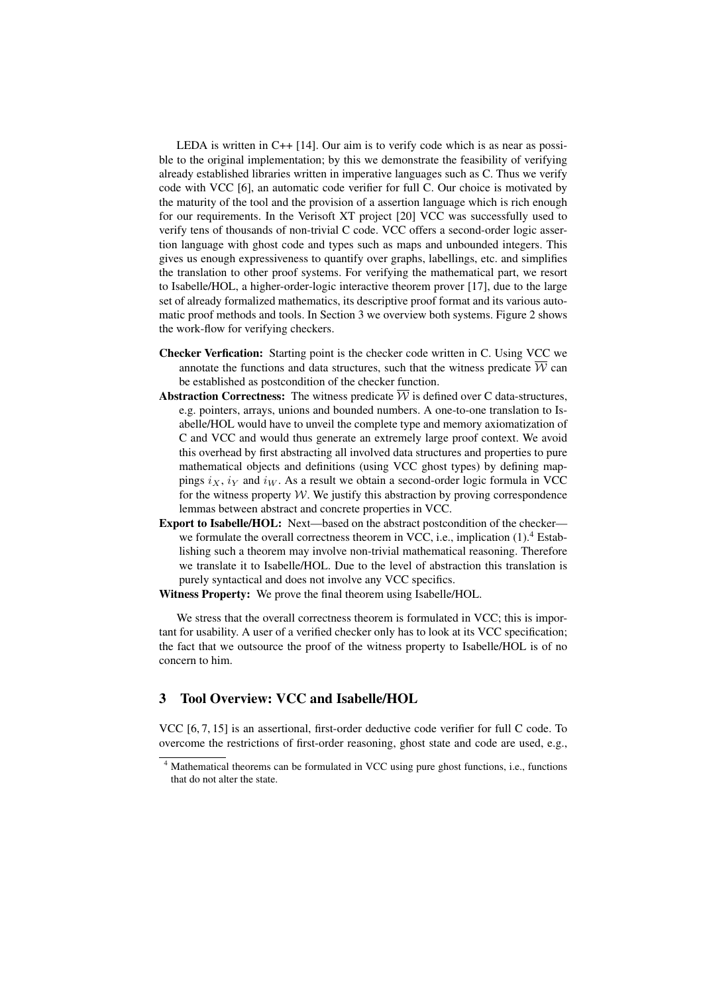LEDA is written in C++ [14]. Our aim is to verify code which is as near as possible to the original implementation; by this we demonstrate the feasibility of verifying already established libraries written in imperative languages such as C. Thus we verify code with VCC [6], an automatic code verifier for full C. Our choice is motivated by the maturity of the tool and the provision of a assertion language which is rich enough for our requirements. In the Verisoft XT project [20] VCC was successfully used to verify tens of thousands of non-trivial C code. VCC offers a second-order logic assertion language with ghost code and types such as maps and unbounded integers. This gives us enough expressiveness to quantify over graphs, labellings, etc. and simplifies the translation to other proof systems. For verifying the mathematical part, we resort to Isabelle/HOL, a higher-order-logic interactive theorem prover [17], due to the large set of already formalized mathematics, its descriptive proof format and its various automatic proof methods and tools. In Section 3 we overview both systems. Figure 2 shows the work-flow for verifying checkers.

- Checker Verfication: Starting point is the checker code written in C. Using VCC we annotate the functions and data structures, such that the witness predicate  $\overline{W}$  can be established as postcondition of the checker function.
- **Abstraction Correctness:** The witness predicate  $\overline{\mathcal{W}}$  is defined over C data-structures. e.g. pointers, arrays, unions and bounded numbers. A one-to-one translation to Isabelle/HOL would have to unveil the complete type and memory axiomatization of C and VCC and would thus generate an extremely large proof context. We avoid this overhead by first abstracting all involved data structures and properties to pure mathematical objects and definitions (using VCC ghost types) by defining mappings  $i_X$ ,  $i_Y$  and  $i_W$ . As a result we obtain a second-order logic formula in VCC for the witness property  $W$ . We justify this abstraction by proving correspondence lemmas between abstract and concrete properties in VCC.
- Export to Isabelle/HOL: Next—based on the abstract postcondition of the checker we formulate the overall correctness theorem in VCC, i.e., implication  $(1)$ .<sup>4</sup> Establishing such a theorem may involve non-trivial mathematical reasoning. Therefore we translate it to Isabelle/HOL. Due to the level of abstraction this translation is purely syntactical and does not involve any VCC specifics.
- Witness Property: We prove the final theorem using Isabelle/HOL.

We stress that the overall correctness theorem is formulated in VCC; this is important for usability. A user of a verified checker only has to look at its VCC specification; the fact that we outsource the proof of the witness property to Isabelle/HOL is of no concern to him.

# 3 Tool Overview: VCC and Isabelle/HOL

VCC [6, 7, 15] is an assertional, first-order deductive code verifier for full C code. To overcome the restrictions of first-order reasoning, ghost state and code are used, e.g.,

<sup>4</sup> Mathematical theorems can be formulated in VCC using pure ghost functions, i.e., functions that do not alter the state.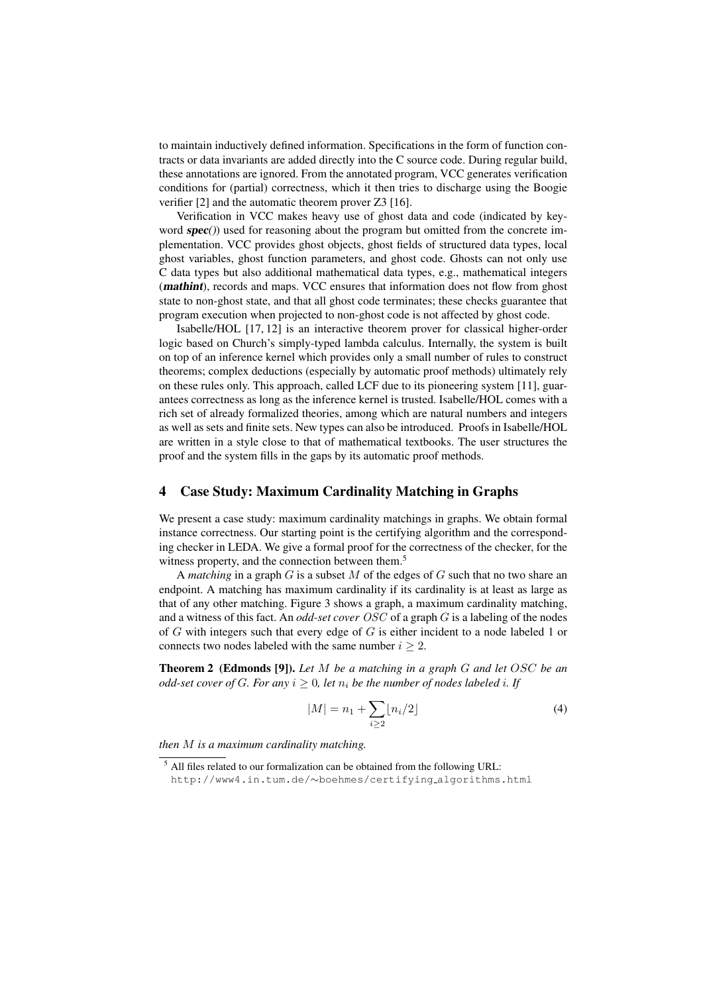to maintain inductively defined information. Specifications in the form of function contracts or data invariants are added directly into the C source code. During regular build, these annotations are ignored. From the annotated program, VCC generates verification conditions for (partial) correctness, which it then tries to discharge using the Boogie verifier [2] and the automatic theorem prover Z3 [16].

Verification in VCC makes heavy use of ghost data and code (indicated by keyword  $spec()$  used for reasoning about the program but omitted from the concrete implementation. VCC provides ghost objects, ghost fields of structured data types, local ghost variables, ghost function parameters, and ghost code. Ghosts can not only use C data types but also additional mathematical data types, e.g., mathematical integers (*mathint*), records and maps. VCC ensures that information does not flow from ghost state to non-ghost state, and that all ghost code terminates; these checks guarantee that program execution when projected to non-ghost code is not affected by ghost code.

Isabelle/HOL [17, 12] is an interactive theorem prover for classical higher-order logic based on Church's simply-typed lambda calculus. Internally, the system is built on top of an inference kernel which provides only a small number of rules to construct theorems; complex deductions (especially by automatic proof methods) ultimately rely on these rules only. This approach, called LCF due to its pioneering system [11], guarantees correctness as long as the inference kernel is trusted. Isabelle/HOL comes with a rich set of already formalized theories, among which are natural numbers and integers as well as sets and finite sets. New types can also be introduced. Proofs in Isabelle/HOL are written in a style close to that of mathematical textbooks. The user structures the proof and the system fills in the gaps by its automatic proof methods.

## 4 Case Study: Maximum Cardinality Matching in Graphs

We present a case study: maximum cardinality matchings in graphs. We obtain formal instance correctness. Our starting point is the certifying algorithm and the corresponding checker in LEDA. We give a formal proof for the correctness of the checker, for the witness property, and the connection between them.<sup>5</sup>

A *matching* in a graph G is a subset M of the edges of G such that no two share an endpoint. A matching has maximum cardinality if its cardinality is at least as large as that of any other matching. Figure 3 shows a graph, a maximum cardinality matching, and a witness of this fact. An *odd-set cover* OSC of a graph G is a labeling of the nodes of G with integers such that every edge of G is either incident to a node labeled 1 or connects two nodes labeled with the same number  $i \geq 2$ .

Theorem 2 (Edmonds [9]). *Let* M *be a matching in a graph* G *and let* OSC *be an odd-set cover of G. For any*  $i \geq 0$ *, let*  $n_i$  *be the number of nodes labeled i. If* 

$$
|M| = n_1 + \sum_{i \ge 2} \lfloor n_i/2 \rfloor \tag{4}
$$

*then* M *is a maximum cardinality matching.*

<sup>&</sup>lt;sup>5</sup> All files related to our formalization can be obtained from the following URL: http://www4.in.tum.de/∼boehmes/certifying algorithms.html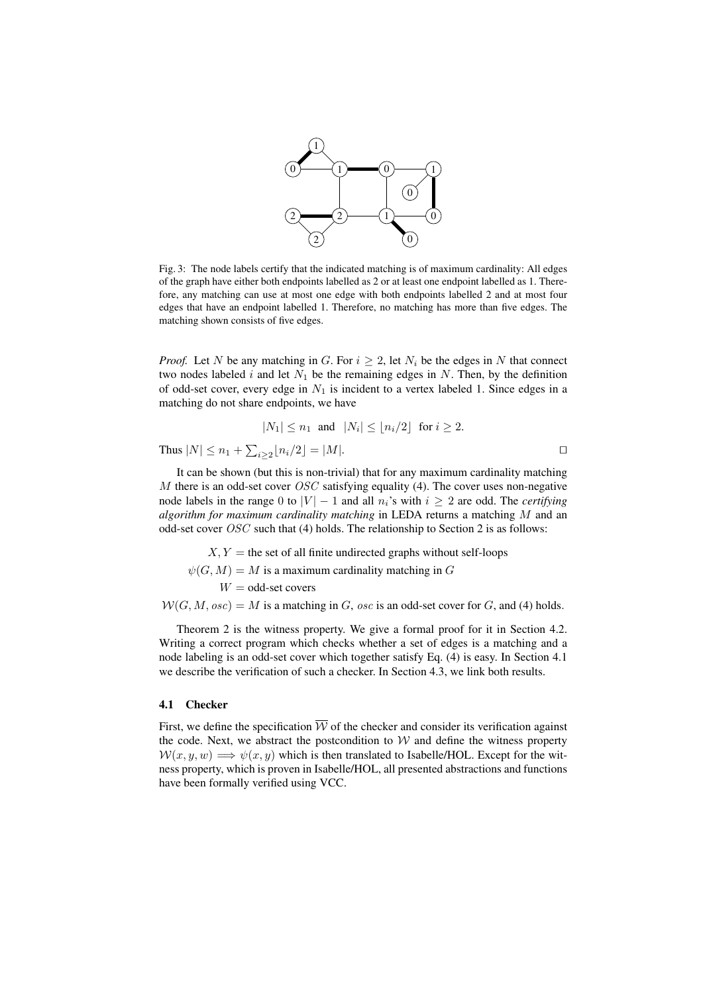

Fig. 3: The node labels certify that the indicated matching is of maximum cardinality: All edges of the graph have either both endpoints labelled as 2 or at least one endpoint labelled as 1. Therefore, any matching can use at most one edge with both endpoints labelled 2 and at most four edges that have an endpoint labelled 1. Therefore, no matching has more than five edges. The matching shown consists of five edges.

*Proof.* Let N be any matching in G. For  $i \geq 2$ , let  $N_i$  be the edges in N that connect two nodes labeled i and let  $N_1$  be the remaining edges in N. Then, by the definition of odd-set cover, every edge in  $N_1$  is incident to a vertex labeled 1. Since edges in a matching do not share endpoints, we have

$$
|N_1| \le n_1 \text{ and } |N_i| \le \lfloor n_i/2 \rfloor \text{ for } i \ge 2.
$$

Thus  $|N| \le n_1 + \sum_{i \ge 2} \lfloor n_i/2 \rfloor = |M|$ .

It can be shown (but this is non-trivial) that for any maximum cardinality matching  $M$  there is an odd-set cover  $OSC$  satisfying equality (4). The cover uses non-negative node labels in the range 0 to  $|V| - 1$  and all  $n_i$ 's with  $i \geq 2$  are odd. The *certifying algorithm for maximum cardinality matching* in LEDA returns a matching M and an odd-set cover  $OSC$  such that (4) holds. The relationship to Section 2 is as follows:

 $X, Y =$  the set of all finite undirected graphs without self-loops  $\psi(G, M) = M$  is a maximum cardinality matching in G  $W =$ odd-set covers

 $W(G, M, osc) = M$  is a matching in G, osc is an odd-set cover for G, and (4) holds.

Theorem 2 is the witness property. We give a formal proof for it in Section 4.2. Writing a correct program which checks whether a set of edges is a matching and a node labeling is an odd-set cover which together satisfy Eq. (4) is easy. In Section 4.1 we describe the verification of such a checker. In Section 4.3, we link both results.

### 4.1 Checker

First, we define the specification  $\overline{W}$  of the checker and consider its verification against the code. Next, we abstract the postcondition to  $W$  and define the witness property  $W(x, y, w) \Longrightarrow \psi(x, y)$  which is then translated to Isabelle/HOL. Except for the witness property, which is proven in Isabelle/HOL, all presented abstractions and functions have been formally verified using VCC.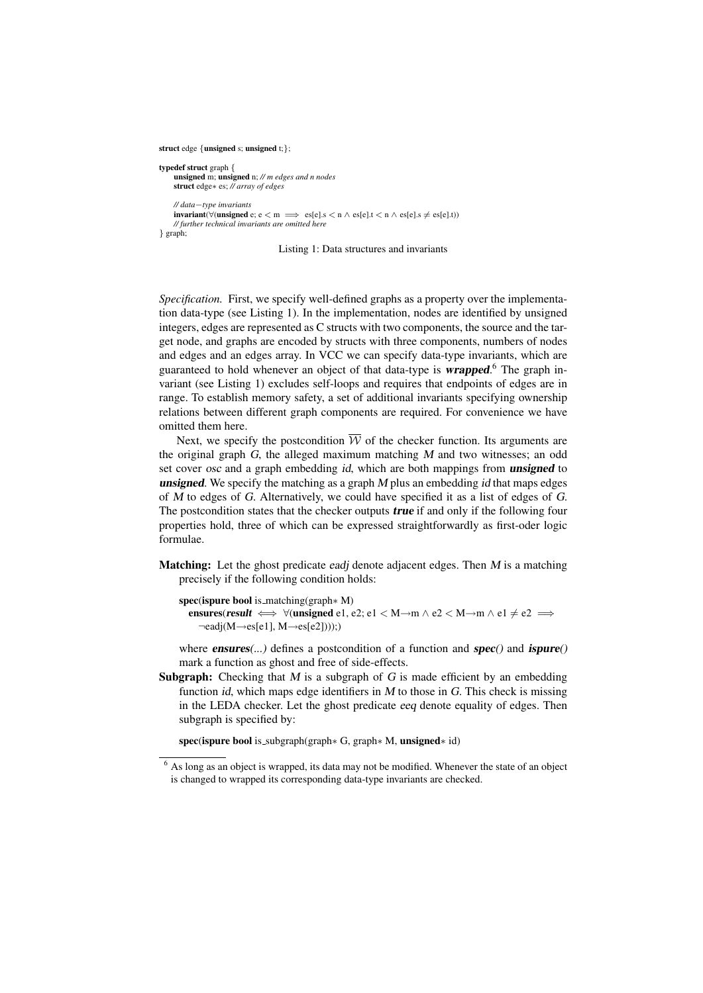```
struct edge {unsigned s; unsigned t; };
typedef struct graph {
    unsigned m; unsigned n; // m edges and n nodes
    struct edge∗ es; // array of edges
    // data−type invariants
    invariant(\forall(unsigned e; e < m \implies es[e].s < n ∧ es[e].t < n ∧ es[e].s \neq es[e].t))
   // further technical invariants are omitted here
} graph;
```
Listing 1: Data structures and invariants

*Specification.* First, we specify well-defined graphs as a property over the implementation data-type (see Listing 1). In the implementation, nodes are identified by unsigned integers, edges are represented as C structs with two components, the source and the target node, and graphs are encoded by structs with three components, numbers of nodes and edges and an edges array. In VCC we can specify data-type invariants, which are guaranteed to hold whenever an object of that data-type is **wrapped**.<sup>6</sup> The graph invariant (see Listing 1) excludes self-loops and requires that endpoints of edges are in range. To establish memory safety, a set of additional invariants specifying ownership relations between different graph components are required. For convenience we have omitted them here.

Next, we specify the postcondition  $\overline{\mathcal{W}}$  of the checker function. Its arguments are the original graph  $G$ , the alleged maximum matching  $M$  and two witnesses; an odd set cover osc and a graph embedding id, which are both mappings from *unsigned* to **unsigned**. We specify the matching as a graph  $M$  plus an embedding  $id$  that maps edges of M to edges of G. Alternatively, we could have specified it as a list of edges of G. The postcondition states that the checker outputs **true** if and only if the following four properties hold, three of which can be expressed straightforwardly as first-oder logic formulae.

**Matching:** Let the ghost predicate *eadj* denote adjacent edges. Then  $M$  is a matching precisely if the following condition holds:

```
spec(ispure bool is_matching(graph∗ M)
  ensures(result \iff \forall(unsigned e1, e2; e1 < M → m \land e2 < M → m \land e1 \neq e2 \implies\negeadj(M\neges[e1], M\neges[e2])));)
```
where **ensures**(...) defines a postcondition of a function and  $spec()$  and  $ispure()$ mark a function as ghost and free of side-effects.

**Subgraph:** Checking that  $M$  is a subgraph of  $G$  is made efficient by an embedding function *id*, which maps edge identifiers in  $M$  to those in  $G$ . This check is missing in the LEDA checker. Let the ghost predicate eeq denote equality of edges. Then subgraph is specified by:

spec(ispure bool is\_subgraph(graph∗ G, graph∗ M, unsigned∗ id)

<sup>6</sup> As long as an object is wrapped, its data may not be modified. Whenever the state of an object is changed to wrapped its corresponding data-type invariants are checked.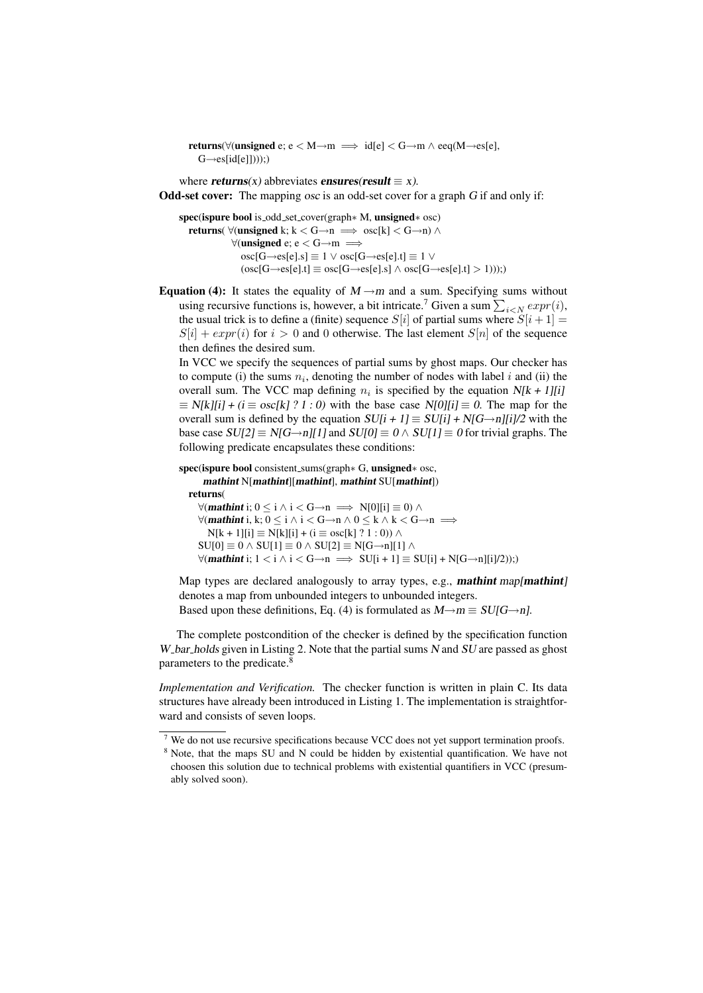returns( $\forall$ (unsigned e; e < M→m  $\implies$  id[e] < G→m  $\land$  eeq(M→es[e],  $G \rightarrow es[id[e]]))$ ;)

where **returns**(x) abbreviates **ensures**(**result**  $\equiv x$ ). Odd-set cover: The mapping osc is an odd-set cover for a graph G if and only if:

spec(ispure bool is\_odd\_set\_cover(graph∗ M, unsigned∗ osc) returns(  $\forall$ (unsigned k; k < G→n  $\implies$  osc[k] < G→n) ∧  $\forall$ (unsigned e; e < G $\rightarrow$ m  $\implies$  $\text{osc}[G \rightarrow \text{es}[e] \cdot s] \equiv 1 \vee \text{osc}[G \rightarrow \text{es}[e] \cdot t] \equiv 1 \vee$  $(osc[G \rightarrow es[e].t] \equiv osc[G \rightarrow es[e].s] \land osc[G \rightarrow es[e].t] > 1))$ ;)

Equation (4): It states the equality of  $M \rightarrow m$  and a sum. Specifying sums without using recursive functions is, however, a bit intricate.<sup>7</sup> Given a sum  $\sum_{i \le N} exp(r(i))$ , the usual trick is to define a (finite) sequence  $S[i]$  of partial sums where  $S[i + 1] =$  $S[i] + exp(r(i)$  for  $i > 0$  and 0 otherwise. The last element  $S[n]$  of the sequence then defines the desired sum.

In VCC we specify the sequences of partial sums by ghost maps. Our checker has to compute (i) the sums  $n_i$ , denoting the number of nodes with label i and (ii) the overall sum. The VCC map defining  $n_i$  is specified by the equation  $N[k+1][i]$  $\equiv N[k][i] + (i \equiv \text{osc}[k]$  ? 1 : 0) with the base case  $N[0][i] \equiv 0$ . The map for the overall sum is defined by the equation  $SU[i + 1] \equiv SU[i] + N[G \rightarrow n][i]/2$  with the base case  $SU[2] \equiv N[G \rightarrow n][1]$  and  $SU[0] \equiv 0 \land SU[1] \equiv 0$  for trivial graphs. The following predicate encapsulates these conditions:

```
spec(ispure bool consistent_sums(graph∗ G, unsigned∗ osc,
       mathint N[mathint][mathint], mathint SU[mathint])
   returns(
      \forall(mathint i; 0 \le i \wedge i \le G \rightarrow n \implies N[0][i] \equiv 0) \wedge\forall(mathint i, k; 0 \le i \land i \le G \rightarrow n \land 0 \le k \land k \le G \rightarrow n \impliesN[k + 1][i] \equiv N[k][i] + (i \equiv osc[k] ? 1 : 0)SU[0] \equiv 0 \wedge SU[1] \equiv 0 \wedge SU[2] \equiv N[G \rightarrow n][1] \wedge\forall(mathint i; 1 < i \land i < G\rightarrown \implies SU[i + 1] \equiv SU[i] + N[G\rightarrown][i]/2));)
```
Map types are declared analogously to array types, e.g., **mathint** map[**mathint**] denotes a map from unbounded integers to unbounded integers. Based upon these definitions, Eq. (4) is formulated as  $M \rightarrow m \equiv SU[G \rightarrow n]$ .

The complete postcondition of the checker is defined by the specification function W bar holds given in Listing 2. Note that the partial sums  $N$  and  $SU$  are passed as ghost parameters to the predicate.<sup>8</sup>

*Implementation and Verification.* The checker function is written in plain C. Its data structures have already been introduced in Listing 1. The implementation is straightforward and consists of seven loops.

<sup>7</sup> We do not use recursive specifications because VCC does not yet support termination proofs.

<sup>&</sup>lt;sup>8</sup> Note, that the maps SU and N could be hidden by existential quantification. We have not choosen this solution due to technical problems with existential quantifiers in VCC (presumably solved soon).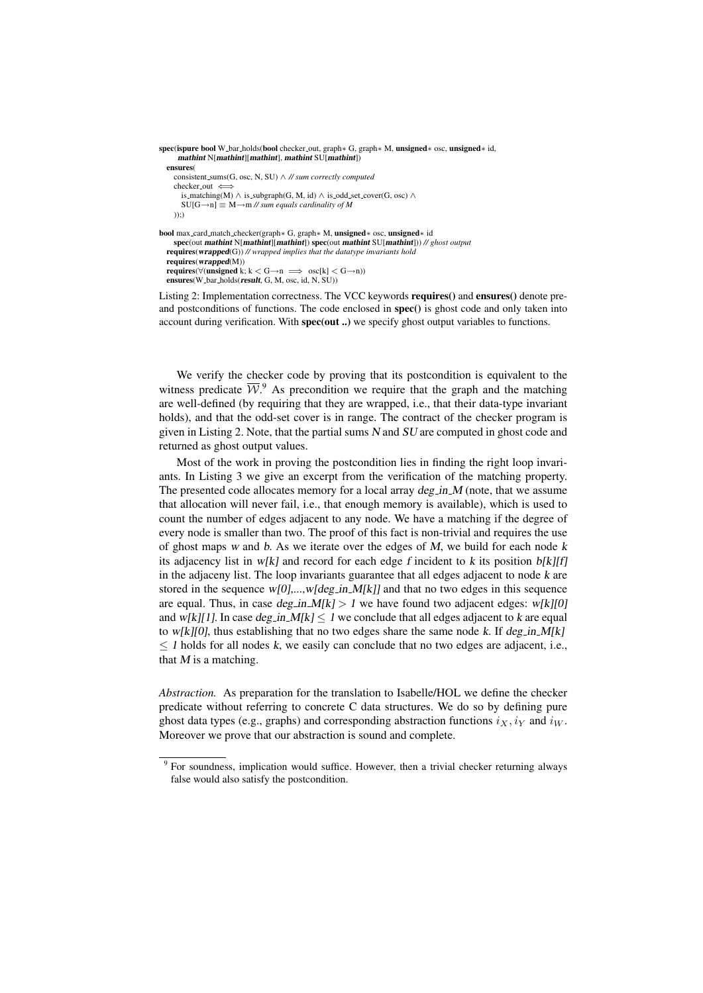```
spec(ispure bool W_bar_holds(bool checker_out, graph∗ G, graph∗ M, unsigned∗ osc, unsigned∗ id,
     mathint N[mathint][mathint], mathint SU[mathint])
  ensures(
    consistent sums(G, osc, N, SU) ∧ // sum correctly computed
    checker_out \leftarrowis_matching(M) \land is_subgraph(G, M, id) \land is_odd_set_cover(G, osc) \landSU[G \rightarrow n] \equiv M \rightarrow m // sum equals cardinality of M
    ));)
bool max card match checker(graph∗ G, graph∗ M, unsigned∗ osc, unsigned∗ id
    spec(out mathint N[mathint][mathint]) spec(out mathint SU[mathint])) // ghost output
  requires(wrapped(G)) // wrapped implies that the datatype invariants hold
  requires(wrapped(M))
  requires(\forall(unsigned k; k < G→n \implies osc[k] < G→n))
  ensures(W bar holds(result, G, M, osc, id, N, SU))
```
Listing 2: Implementation correctness. The VCC keywords requires() and ensures() denote preand postconditions of functions. The code enclosed in **spec**() is ghost code and only taken into account during verification. With spec(out ..) we specify ghost output variables to functions.

We verify the checker code by proving that its postcondition is equivalent to the witness predicate  $\overline{\mathcal{W}}$ .<sup>9</sup> As precondition we require that the graph and the matching are well-defined (by requiring that they are wrapped, i.e., that their data-type invariant holds), and that the odd-set cover is in range. The contract of the checker program is given in Listing 2. Note, that the partial sums N and SU are computed in ghost code and returned as ghost output values.

Most of the work in proving the postcondition lies in finding the right loop invariants. In Listing 3 we give an excerpt from the verification of the matching property. The presented code allocates memory for a local array  $deg_in_M$  (note, that we assume that allocation will never fail, i.e., that enough memory is available), which is used to count the number of edges adjacent to any node. We have a matching if the degree of every node is smaller than two. The proof of this fact is non-trivial and requires the use of ghost maps  $w$  and  $b$ . As we iterate over the edges of  $M$ , we build for each node  $k$ its adjacency list in  $w[k]$  and record for each edge f incident to k its position  $b[k][f]$ in the adjaceny list. The loop invariants guarantee that all edges adjacent to node k are stored in the sequence  $w[0],...,w[deg_in_M[k]]$  and that no two edges in this sequence are equal. Thus, in case  $deg_in_M[k] > 1$  we have found two adjacent edges: w[k][0] and w[k][1]. In case deg\_in\_M[k]  $\leq 1$  we conclude that all edges adjacent to k are equal to w[k][0], thus establishing that no two edges share the same node k. If deg in  $M[k]$  $\leq$  1 holds for all nodes k, we easily can conclude that no two edges are adjacent, i.e., that  $M$  is a matching.

*Abstraction.* As preparation for the translation to Isabelle/HOL we define the checker predicate without referring to concrete C data structures. We do so by defining pure ghost data types (e.g., graphs) and corresponding abstraction functions  $i_x$ ,  $i_y$  and  $i_w$ . Moreover we prove that our abstraction is sound and complete.

<sup>&</sup>lt;sup>9</sup> For soundness, implication would suffice. However, then a trivial checker returning always false would also satisfy the postcondition.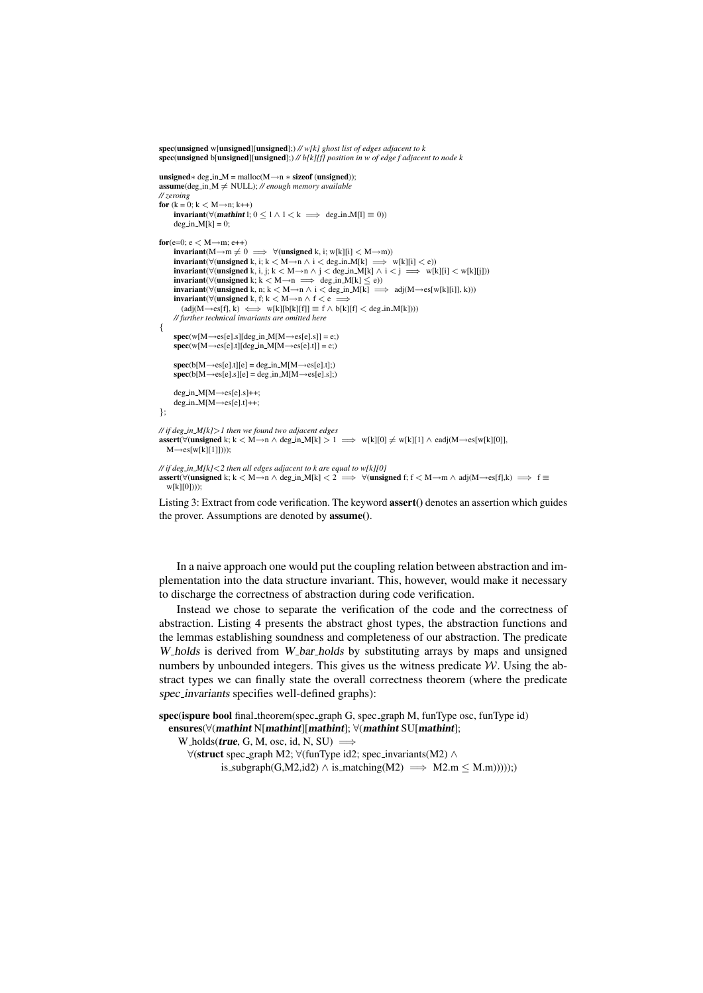```
spec(unsigned w[unsigned][unsigned];) // w[k] ghost list of edges adjacent to k
spec(unsigned b[unsigned][unsigned];) // b[k][f] position in w of edge f adjacent to node k
unsigned∗ deg_in_M = malloc(M → n * sizeof (unsigned));
assume(deg_in.M \neq NULL; // enough memory available
// zeroing
for (k = 0; k < M \rightarrow n; k++)invariant(\forall(mathint l; 0 \leq l \land l < k \implies deg_in_M[l] \equiv 0))
     deg_in.M[k] = 0;for(e=0; e < M \rightarrow m; e++)
     invariant(M→m \neq 0 \implies \forall(unsigned k, i; w[k][i] < M→m))
     invariant(\forall(unsigned k, i; k < M→n ∧ i < deg_in_M[k] \implies w[k][i] < e))
     invariant(∀(unsigned k, i, j; k < M→n \land j < deg_in_M[k] \land i < j \implies w[k][i] < w[k][j]))
     \text{invariant}(\forall (\text{unsigned k}; k < M \rightarrow n \implies \text{deg_in.M[k]} \leq e))invariant(∀(unsigned k, n; k < M→n ∧ i < deg in M[k] =⇒ adj(M→es[w[k][i]], k)))
invariant(∀(unsigned k, f; k < M→n ∧ f < e =⇒
        (\text{adj}(M \rightarrow \text{es}[f], k) \iff \text{w}[k][b[k][f]] \equiv f \land \text{b}[k][f] < \text{deg_in}_k[k]))// further technical invariants are omitted here
{
     spec(w[M\rightarrow es[e].s][deg_in.M[M\rightarrow es[e].s]] = e; )spec(w[M\rightarrow es[e].t][deg_in.M[M\rightarrow es[e].t]] = e;spec(b[M\rightarrow es[e].t][e] = deg_in.M[M\rightarrow es[e].t];)<br>
spec(b[M\rightarrow es[e].s][e] = deg_in.M[M\rightarrow es[e].s];)deg in M[M→es[e].s]++;
     deg in M[M→es[e].t]++;
};
// if deg in M[k]>1 then we found two adjacent edges
assert(\forall(unsigned k; k < M→n ∧ deg_in_M[k] > 1 \implies w[k][0] \neq w[k][1] ∧ eadj(M→es[w[k][0]],
  M \rightarrow e s[w[k][1]]));
// if deg_in_M[k] < 2 then all edges adjacent to k are equal to w[k][0]<br>assert(∀(unsigned k; k < M→n ∧ deg_in_M[k] < 2   ⇒ ∀(unsigned f; f < M→m ∧ adj(M→es[f],k)   ⇒   f ≡
```
Listing 3: Extract from code verification. The keyword assert() denotes an assertion which guides the prover. Assumptions are denoted by assume().

w[k][0])));

In a naive approach one would put the coupling relation between abstraction and implementation into the data structure invariant. This, however, would make it necessary to discharge the correctness of abstraction during code verification.

Instead we chose to separate the verification of the code and the correctness of abstraction. Listing 4 presents the abstract ghost types, the abstraction functions and the lemmas establishing soundness and completeness of our abstraction. The predicate W\_holds is derived from W\_bar\_holds by substituting arrays by maps and unsigned numbers by unbounded integers. This gives us the witness predicate  $W$ . Using the abstract types we can finally state the overall correctness theorem (where the predicate spec invariants specifies well-defined graphs):

```
spec(ispure bool final theorem(spec graph G, spec graph M, funType osc, funType id)
  ensures(∀(mathint N[mathint][mathint]; ∀(mathint SU[mathint];
    W_holds(true, G, M, osc, id, N, SU) \implies∀(struct spec graph M2; ∀(funType id2; spec invariants(M2) ∧
              is_subgraph(G,M2,id2) \land is_matching(M2) \implies M2.m \leq M.m)))));)
```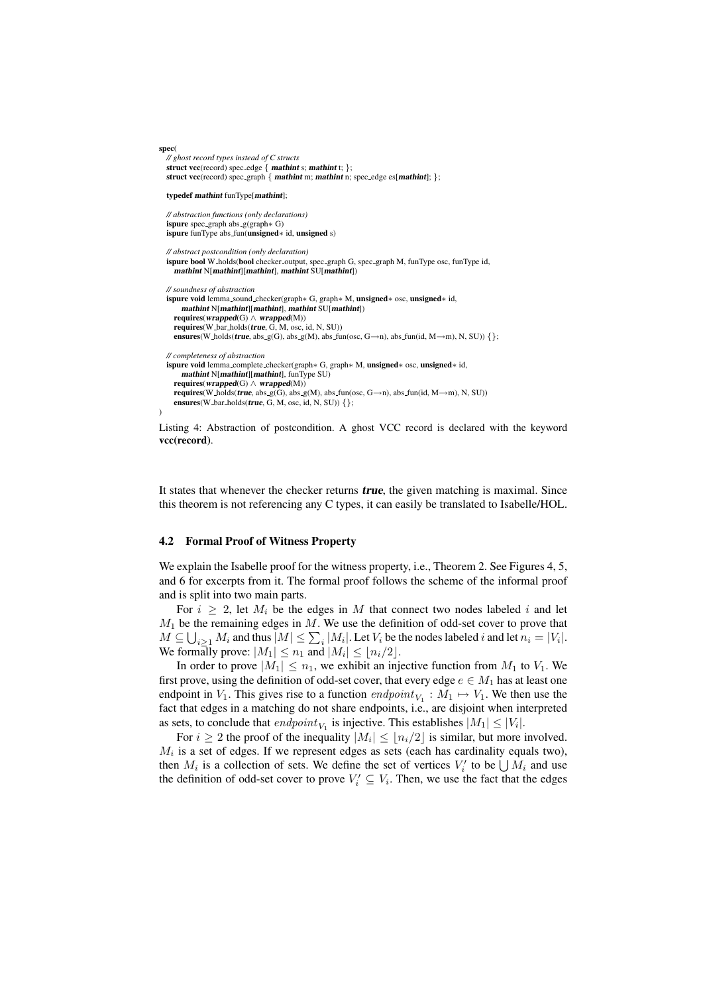```
spec(
 // ghost record types instead of C structs
  struct vcc(record) spec_edge { mathint s; mathint t; };<br>struct vcc(record) spec_graph { mathint m; mathint n; spec_edge es[mathint]; };
  typedef mathint funType[mathint];
  // abstraction functions (only declarations)
  ispure spec graph abs g(graph∗ G)
  ispure funType abs fun(unsigned∗ id, unsigned s)
 // abstract postcondition (only declaration)
  ispure bool W_holds(bool checker_output, spec_graph G, spec_graph M, funType osc, funType id,
    mathint N[mathint][mathint], mathint SU[mathint])
  // soundness of abstraction
  ispure void lemma sound checker(graph∗ G, graph∗ M, unsigned∗ osc, unsigned∗ id,
      mathint N[mathint][mathint], mathint SU[mathint])
    requires(wrapped(G) \land wrapped(M))

    ensures(W\_holds(true, abs\_g(G), abs\_g(M), abs\_fun(osc, G \rightarrow n), abs\_fun(id, M \rightarrow m), N, SU)) {};
  // completeness of abstraction
  ispure void lemma complete checker(graph∗ G, graph∗ M, unsigned∗ osc, unsigned∗ id,
      mathint N[mathint[[mathint], funType SU)
    requires(wrapped(G) ∧ wrapped(M))
    \textbf{requires}(W\_holds(\textbf{true}, abs\_g(G), abs\_g(M), abs\_fun(osc, G \rightarrow n), abs\_fun(id, M \rightarrow m), N, SU))ensures(W_bar_holds(true, G, M, osc, id, N, SU)) {};
)
```

```
Listing 4: Abstraction of postcondition. A ghost VCC record is declared with the keyword
vcc(record).
```
It states that whenever the checker returns *true*, the given matching is maximal. Since this theorem is not referencing any C types, it can easily be translated to Isabelle/HOL.

#### 4.2 Formal Proof of Witness Property

We explain the Isabelle proof for the witness property, i.e., Theorem 2. See Figures 4, 5, and 6 for excerpts from it. The formal proof follows the scheme of the informal proof and is split into two main parts.

For  $i \geq 2$ , let  $M_i$  be the edges in M that connect two nodes labeled i and let  $M_1$  be the remaining edges in  $M$ . We use the definition of odd-set cover to prove that  $M\subseteq \bigcup_{i\geq 1}M_i$  and thus  $|M|\leq \sum_i|M_i|$ . Let  $V_i$  be the nodes labeled  $i$  and let  $n_i=|V_i|$ . We formally prove:  $|M_1| \le n_1$  and  $|M_i| \le \lfloor n_i/2 \rfloor$ .

In order to prove  $|M_1| \leq n_1$ , we exhibit an injective function from  $M_1$  to  $V_1$ . We first prove, using the definition of odd-set cover, that every edge  $e \in M_1$  has at least one endpoint in  $V_1$ . This gives rise to a function  $\text{endpoint}_{V_1} : M_1 \mapsto V_1$ . We then use the fact that edges in a matching do not share endpoints, i.e., are disjoint when interpreted as sets, to conclude that  $\mathit{endpoint}_{V_1}$  is injective. This establishes  $|M_1| \leq |V_i|$ .

For  $i \geq 2$  the proof of the inequality  $|M_i| \leq \lfloor n_i/2 \rfloor$  is similar, but more involved.  $M_i$  is a set of edges. If we represent edges as sets (each has cardinality equals two), then  $M_i$  is a collection of sets. We define the set of vertices  $V_i'$  to be  $\bigcup M_i$  and use the definition of odd-set cover to prove  $V_i' \subseteq V_i$ . Then, we use the fact that the edges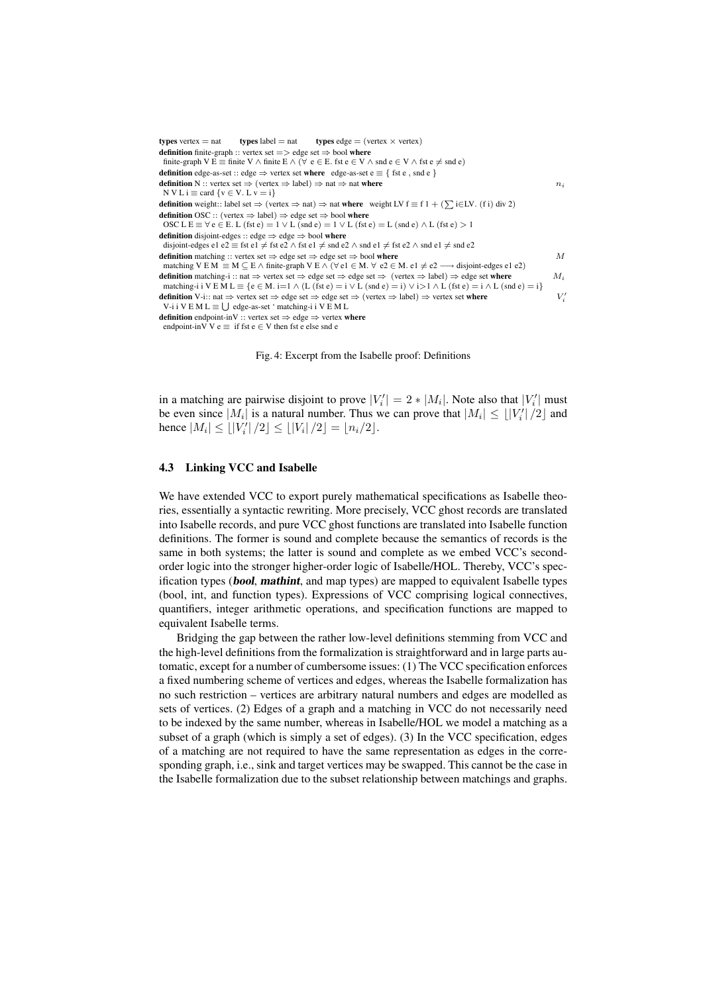```
types vertex = nat types label = nat types edge = (vertex \times vertex)
definition finite-graph :: vertex set \Rightarrow edge set \Rightarrow bool where
 finite-graph V E \equiv finite V \land finite E \land (\forall e \in E. fst e \in V \land snd e \in V \land fst e \neq snd e)
definition edge-as-set :: edge \Rightarrow vertex set where edge-as-set e \equiv { fst e , snd e }
definition N :: vertex set \Rightarrow (vertex \Rightarrow label) \Rightarrow nat \Rightarrow nat where n_iN V L i \equiv card {v \in V. L v = i}
definition weight:: label set \Rightarrow (vertex \Rightarrow nat) \Rightarrow nat where weight LV f \equiv f 1 + (\sum i\inLV. (f i) div 2)
definition OSC :: (vertex \Rightarrow label) \Rightarrow edge set \Rightarrow bool where
 OSC L E \equiv \forall e \in E. L (fst e) = 1 \lor L (snd e) = 1 \lor L (fst e) = L (snd e) \land L (fst e) > 1
definition disjoint-edges :: edge \Rightarrow edge \Rightarrow bool where
 disjoint-edges e1 e2 ≡ fst e1 \neq fst e2 ∧ fst e1 \neq snd e2 ∧ snd e1 \neq fst e2 ∧ snd e1 \neq snd e2
definition matching :: vertex set \Rightarrow edge set \Rightarrow bool where M
 matching V E M \equiv M \subseteq E \land finite-graph V E \land (\forall e1 \in M. \forall e2 \in M. e1 \neq e2 \longrightarrow disjoint-edges e1 e2)
definition matching-i :: nat \Rightarrow vertex set \Rightarrow edge set \Rightarrow edge set \Rightarrow (vertex \Rightarrow label) \Rightarrow edge set where M<sub>i</sub>
 matching-i i V E M L \equiv \{e \in M : i=1 \wedge (L \text{ (fst } e) = i \vee L \text{ (snd } e) = i) \vee i >1 \wedge L \text{ (fst } e) = i \wedge L \text{ (snd } e) = i\}definition V-i:: nat \Rightarrow vertex set \Rightarrow edge set \Rightarrow edge set \Rightarrow (vertex \Rightarrow label) \Rightarrow vertex set where
                                                                                                                                                    \frac{1}{i}V-i i V E M L \equiv \bigcup edge-as-set ' matching-i i V E M L
definition endpoint-inV :: vertex set \Rightarrow edge \Rightarrow vertex where
 endpoint-inV V e \equiv if fst e \in V then fst e else snd e
```
Fig. 4: Excerpt from the Isabelle proof: Definitions

in a matching are pairwise disjoint to prove  $|V_i'| = 2 * |M_i|$ . Note also that  $|V_i'|$  must be even since  $|M_i|$  is a natural number. Thus we can prove that  $|M_i| \leq |W_i'|/2$  and hence  $|M_i| \leq \lfloor |V'_i|/2 \rfloor \leq \lfloor |V_i|/2 \rfloor = \lfloor n_i/2 \rfloor$ .

#### 4.3 Linking VCC and Isabelle

We have extended VCC to export purely mathematical specifications as Isabelle theories, essentially a syntactic rewriting. More precisely, VCC ghost records are translated into Isabelle records, and pure VCC ghost functions are translated into Isabelle function definitions. The former is sound and complete because the semantics of records is the same in both systems; the latter is sound and complete as we embed VCC's secondorder logic into the stronger higher-order logic of Isabelle/HOL. Thereby, VCC's specification types (**bool**, **mathint**, and map types) are mapped to equivalent Isabelle types (bool, int, and function types). Expressions of VCC comprising logical connectives, quantifiers, integer arithmetic operations, and specification functions are mapped to equivalent Isabelle terms.

Bridging the gap between the rather low-level definitions stemming from VCC and the high-level definitions from the formalization is straightforward and in large parts automatic, except for a number of cumbersome issues: (1) The VCC specification enforces a fixed numbering scheme of vertices and edges, whereas the Isabelle formalization has no such restriction – vertices are arbitrary natural numbers and edges are modelled as sets of vertices. (2) Edges of a graph and a matching in VCC do not necessarily need to be indexed by the same number, whereas in Isabelle/HOL we model a matching as a subset of a graph (which is simply a set of edges). (3) In the VCC specification, edges of a matching are not required to have the same representation as edges in the corresponding graph, i.e., sink and target vertices may be swapped. This cannot be the case in the Isabelle formalization due to the subset relationship between matchings and graphs.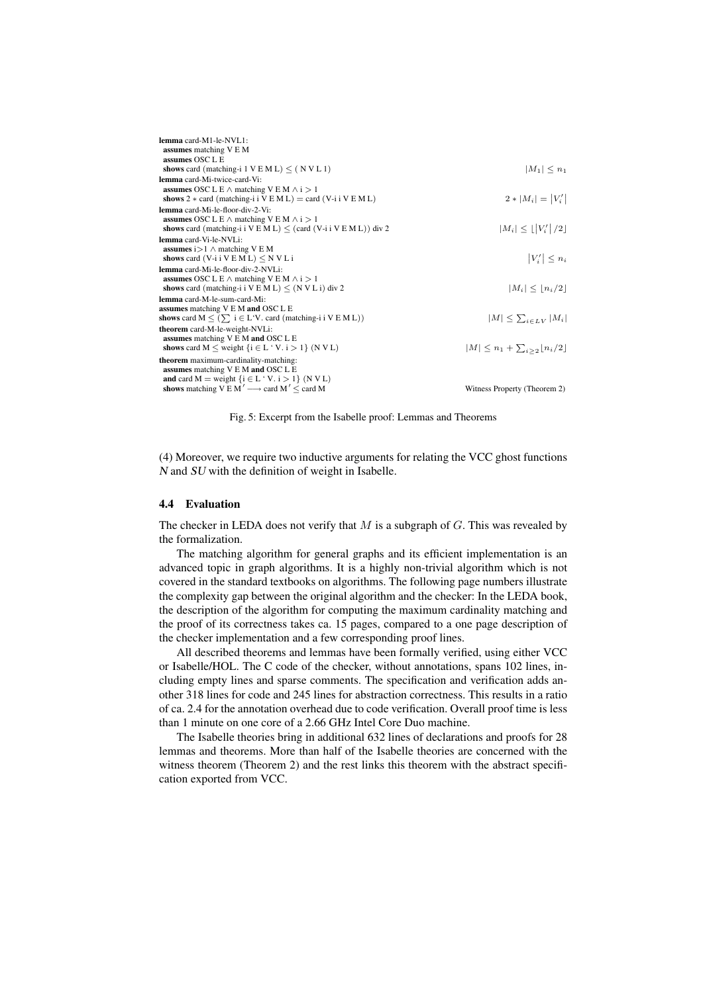| <b>lemma</b> card-M1-le-NVL1:                                                   |                                                   |
|---------------------------------------------------------------------------------|---------------------------------------------------|
| assumes matching V E M                                                          |                                                   |
| assumes OSC L E                                                                 |                                                   |
| shows card (matching-i 1 V E M L) $\leq$ ( N V L 1)                             | $ M_1  \leq n_1$                                  |
| lemma card-Mi-twice-card-Vi:                                                    |                                                   |
| <b>assumes</b> OSC L E $\land$ matching V E M $\land$ i $>1$                    |                                                   |
| shows 2 $*$ card (matching-i i V E M L) = card (V-i i V E M L)                  | $2 *  M_i  =  V'_i $                              |
| lemma card-Mi-le-floor-div-2-Vi:                                                |                                                   |
| <b>assumes</b> OSC L E $\land$ matching V E M $\land$ i $>1$                    |                                                   |
| shows card (matching-i i $V \to M L$ ) $\leq$ (card (V-i i V $\to M L$ )) div 2 | $ M_i  \leq \lfloor  V'_i /2 \rfloor$             |
| lemma card-Vi-le-NVLi:                                                          |                                                   |
| <b>assumes</b> $i>1 \wedge$ matching V E M                                      |                                                   |
| shows card $(V-i i V E M L) \leq N V L i$                                       | $ V_i'  \leq n_i$                                 |
| lemma card-Mi-le-floor-div-2-NVLi:                                              |                                                   |
| <b>assumes</b> OSC L E $\land$ matching V E M $\land$ i $>1$                    |                                                   |
| shows card (matching-i i $V \to M L$ ) $\lt (N V L i)$ div 2                    | $ M_i  \leq \lfloor n_i/2 \rfloor$                |
| lemma card-M-le-sum-card-Mi:                                                    |                                                   |
| assumes matching V E M and OSC L E                                              |                                                   |
| shows card $M \leq (\sum i \in L'V$ . card (matching-i i $V E M L)$ )           | $ M  \leq \sum_{i \in LV}  M_i $                  |
| theorem card-M-le-weight-NVLi:                                                  |                                                   |
| assumes matching V E M and OSC L E                                              |                                                   |
| shows card $M \le$ weight $\{i \in L : V : i > 1\}$ (NVL)                       | $ M  \leq n_1 + \sum_{i>2} \lfloor n_i/2 \rfloor$ |
| theorem maximum-cardinality-matching:                                           |                                                   |
| assumes matching V E M and OSC L E                                              |                                                   |
| and card $M$ = weight $\{i \in L : V : i > 1\}$ (N V L)                         |                                                   |
| shows matching $V \to M' \longrightarrow$ card $M' \leq$ card M                 | Witness Property (Theorem 2)                      |
|                                                                                 |                                                   |

Fig. 5: Excerpt from the Isabelle proof: Lemmas and Theorems

(4) Moreover, we require two inductive arguments for relating the VCC ghost functions N and SU with the definition of weight in Isabelle.

#### 4.4 Evaluation

The checker in LEDA does not verify that  $M$  is a subgraph of  $G$ . This was revealed by the formalization.

The matching algorithm for general graphs and its efficient implementation is an advanced topic in graph algorithms. It is a highly non-trivial algorithm which is not covered in the standard textbooks on algorithms. The following page numbers illustrate the complexity gap between the original algorithm and the checker: In the LEDA book, the description of the algorithm for computing the maximum cardinality matching and the proof of its correctness takes ca. 15 pages, compared to a one page description of the checker implementation and a few corresponding proof lines.

All described theorems and lemmas have been formally verified, using either VCC or Isabelle/HOL. The C code of the checker, without annotations, spans 102 lines, including empty lines and sparse comments. The specification and verification adds another 318 lines for code and 245 lines for abstraction correctness. This results in a ratio of ca. 2.4 for the annotation overhead due to code verification. Overall proof time is less than 1 minute on one core of a 2.66 GHz Intel Core Duo machine.

The Isabelle theories bring in additional 632 lines of declarations and proofs for 28 lemmas and theorems. More than half of the Isabelle theories are concerned with the witness theorem (Theorem 2) and the rest links this theorem with the abstract specification exported from VCC.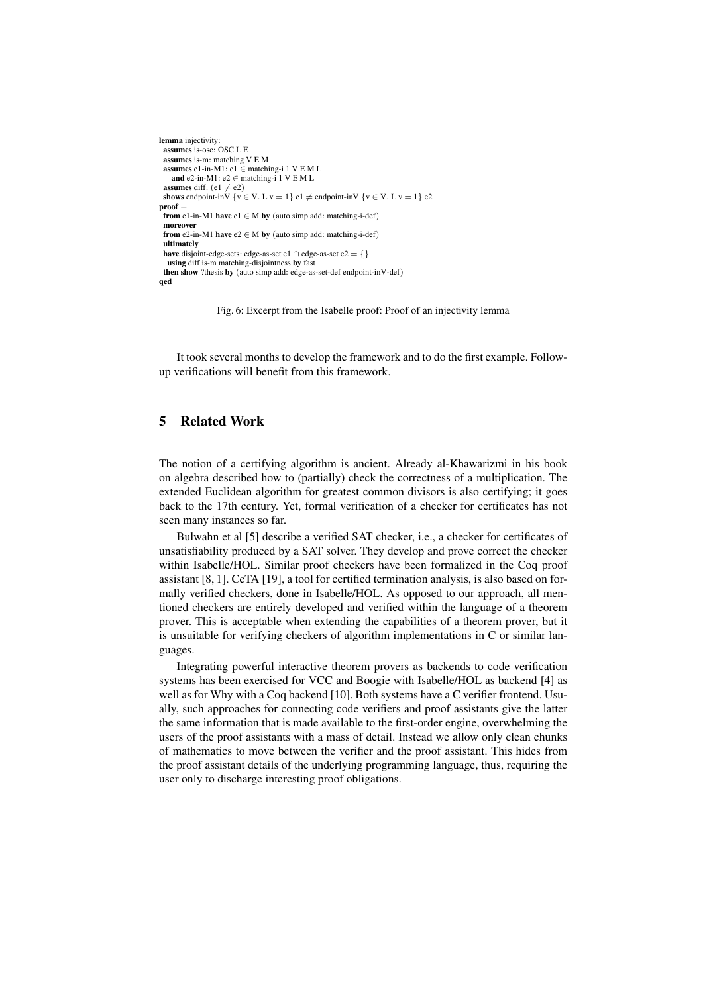```
lemma injectivity:
 assumes is-osc: OSC L E
 assumes is-m: matching V E M
 assumes e1-in-M1: e1 ∈ matching-i 1 V E M L
   and e2-in-M1: e2\in matching-i 1 V E M L
 assumes diff: (e1 \neq e2)shows endpoint-inV {v \in V. L v = 1} e1 \neq endpoint-inV {v \in V. L v = 1} e2
proof −
 from e1-in-M1 have e1 \in M by (auto simp add: matching-i-def)
 moreover
 from e2-in-M1 have e2 \in M by (auto simp add: matching-i-def)
 ultimately
 have disjoint-edge-sets: edge-as-set e1 ∩ edge-as-set e2 = \{\}using diff is-m matching-disjointness by fast
 then show ?thesis by (auto simp add: edge-as-set-def endpoint-inV-def)
qed
```
Fig. 6: Excerpt from the Isabelle proof: Proof of an injectivity lemma

It took several months to develop the framework and to do the first example. Followup verifications will benefit from this framework.

# 5 Related Work

The notion of a certifying algorithm is ancient. Already al-Khawarizmi in his book on algebra described how to (partially) check the correctness of a multiplication. The extended Euclidean algorithm for greatest common divisors is also certifying; it goes back to the 17th century. Yet, formal verification of a checker for certificates has not seen many instances so far.

Bulwahn et al [5] describe a verified SAT checker, i.e., a checker for certificates of unsatisfiability produced by a SAT solver. They develop and prove correct the checker within Isabelle/HOL. Similar proof checkers have been formalized in the Coq proof assistant [8, 1]. CeTA [19], a tool for certified termination analysis, is also based on formally verified checkers, done in Isabelle/HOL. As opposed to our approach, all mentioned checkers are entirely developed and verified within the language of a theorem prover. This is acceptable when extending the capabilities of a theorem prover, but it is unsuitable for verifying checkers of algorithm implementations in C or similar languages.

Integrating powerful interactive theorem provers as backends to code verification systems has been exercised for VCC and Boogie with Isabelle/HOL as backend [4] as well as for Why with a Coq backend [10]. Both systems have a C verifier frontend. Usually, such approaches for connecting code verifiers and proof assistants give the latter the same information that is made available to the first-order engine, overwhelming the users of the proof assistants with a mass of detail. Instead we allow only clean chunks of mathematics to move between the verifier and the proof assistant. This hides from the proof assistant details of the underlying programming language, thus, requiring the user only to discharge interesting proof obligations.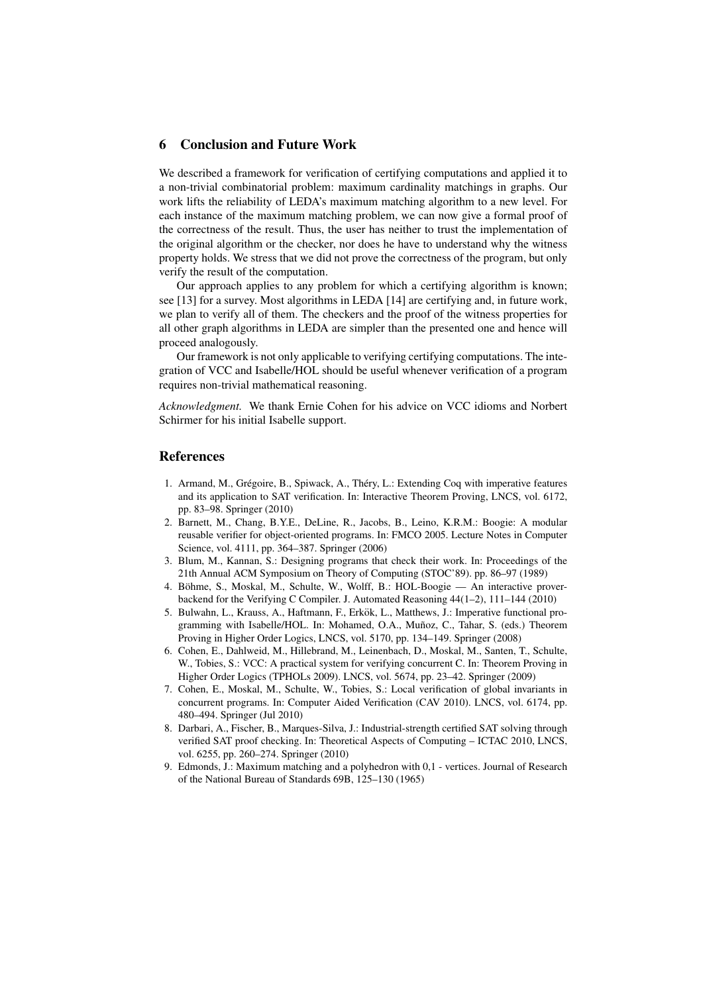### 6 Conclusion and Future Work

We described a framework for verification of certifying computations and applied it to a non-trivial combinatorial problem: maximum cardinality matchings in graphs. Our work lifts the reliability of LEDA's maximum matching algorithm to a new level. For each instance of the maximum matching problem, we can now give a formal proof of the correctness of the result. Thus, the user has neither to trust the implementation of the original algorithm or the checker, nor does he have to understand why the witness property holds. We stress that we did not prove the correctness of the program, but only verify the result of the computation.

Our approach applies to any problem for which a certifying algorithm is known; see [13] for a survey. Most algorithms in LEDA [14] are certifying and, in future work, we plan to verify all of them. The checkers and the proof of the witness properties for all other graph algorithms in LEDA are simpler than the presented one and hence will proceed analogously.

Our framework is not only applicable to verifying certifying computations. The integration of VCC and Isabelle/HOL should be useful whenever verification of a program requires non-trivial mathematical reasoning.

*Acknowledgment.* We thank Ernie Cohen for his advice on VCC idioms and Norbert Schirmer for his initial Isabelle support.

### References

- 1. Armand, M., Grégoire, B., Spiwack, A., Théry, L.: Extending Coq with imperative features and its application to SAT verification. In: Interactive Theorem Proving, LNCS, vol. 6172, pp. 83–98. Springer (2010)
- 2. Barnett, M., Chang, B.Y.E., DeLine, R., Jacobs, B., Leino, K.R.M.: Boogie: A modular reusable verifier for object-oriented programs. In: FMCO 2005. Lecture Notes in Computer Science, vol. 4111, pp. 364–387. Springer (2006)
- 3. Blum, M., Kannan, S.: Designing programs that check their work. In: Proceedings of the 21th Annual ACM Symposium on Theory of Computing (STOC'89). pp. 86–97 (1989)
- 4. Böhme, S., Moskal, M., Schulte, W., Wolff, B.: HOL-Boogie An interactive proverbackend for the Verifying C Compiler. J. Automated Reasoning 44(1–2), 111–144 (2010)
- 5. Bulwahn, L., Krauss, A., Haftmann, F., Erkök, L., Matthews, J.: Imperative functional programming with Isabelle/HOL. In: Mohamed, O.A., Muñoz, C., Tahar, S. (eds.) Theorem Proving in Higher Order Logics, LNCS, vol. 5170, pp. 134–149. Springer (2008)
- 6. Cohen, E., Dahlweid, M., Hillebrand, M., Leinenbach, D., Moskal, M., Santen, T., Schulte, W., Tobies, S.: VCC: A practical system for verifying concurrent C. In: Theorem Proving in Higher Order Logics (TPHOLs 2009). LNCS, vol. 5674, pp. 23–42. Springer (2009)
- 7. Cohen, E., Moskal, M., Schulte, W., Tobies, S.: Local verification of global invariants in concurrent programs. In: Computer Aided Verification (CAV 2010). LNCS, vol. 6174, pp. 480–494. Springer (Jul 2010)
- 8. Darbari, A., Fischer, B., Marques-Silva, J.: Industrial-strength certified SAT solving through verified SAT proof checking. In: Theoretical Aspects of Computing – ICTAC 2010, LNCS, vol. 6255, pp. 260–274. Springer (2010)
- 9. Edmonds, J.: Maximum matching and a polyhedron with 0,1 vertices. Journal of Research of the National Bureau of Standards 69B, 125–130 (1965)